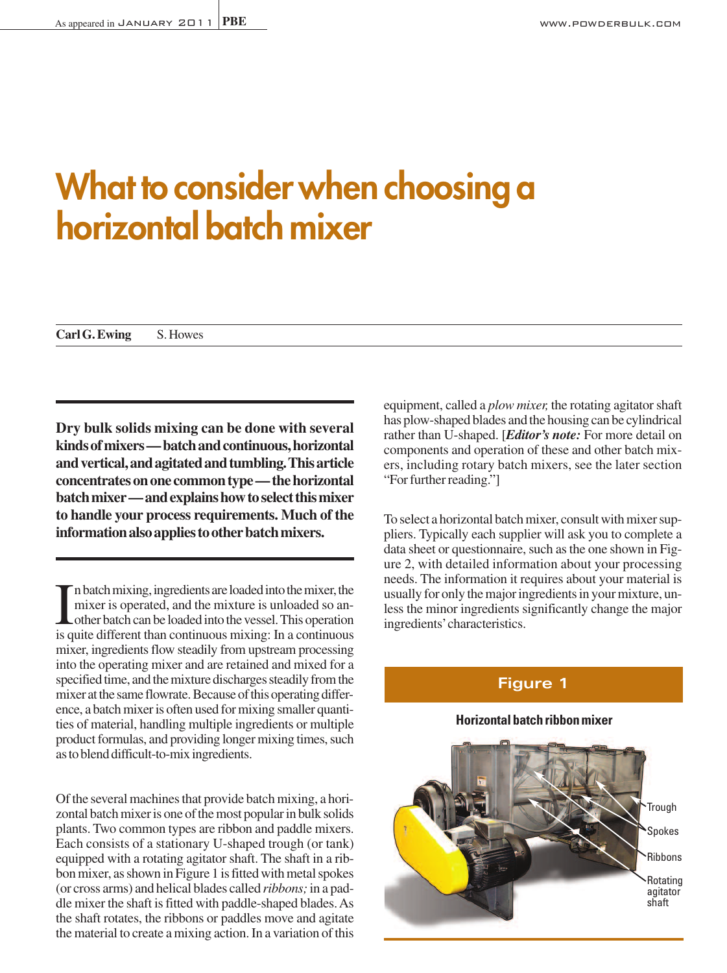# **What to considerwhen choosing a horizontal batch mixer**

**CarlG.Ewing** S.Howes

**Dry bulk solids mixing can be done with several kindsofmixers—batchandcontinuous,horizontal andvertical,andagitatedandtumbling.Thisarticle concentrates on one common type — the horizontal batchmixer—andexplainshowtoselectthismixer to handle your process requirements. Much of the informationalsoappliestootherbatchmixers.**

I n batch mixing, ingredients are loaded into the mixer, the mixer is operated, and the mixture is unloaded so and other batch can be loaded into the vessel. This operation is quite different than continuous mixing: In a c In batch mixing, ingredients are loaded into the mixer, the mixer is operated, and the mixture is unloaded so another batch can be loaded into the vessel.This operation mixer, ingredients flow steadily from upstream processing into the operating mixer and are retained and mixed for a specified time, and the mixture discharges steadily from the mixer at the same flowrate. Because of this operating difference, a batch mixer is often used for mixing smaller quantities of material, handling multiple ingredients or multiple product formulas, and providing longer mixing times, such as to blend difficult-to-mix ingredients.

Of the several machines that provide batch mixing, a horizontal batch mixer is one of the most popular in bulk solids plants. Two common types are ribbon and paddle mixers. Each consists of a stationary U-shaped trough (or tank) equipped with a rotating agitator shaft. The shaft in a ribbon mixer, as shown in Figure 1 is fitted with metal spokes (or cross arms) and helical blades called *ribbons;*in a paddle mixer the shaft is fitted with paddle-shaped blades. As the shaft rotates, the ribbons or paddles move and agitate the material to create a mixing action. In a variation of this equipment, called a *plow mixer*, the rotating agitator shaft has plow-shaped blades and the housing can be cylindrical rather than U-shaped. [*Editor's note:* For more detail on components and operation of these and other batch mixers, including rotary batch mixers, see the later section "For further reading."

To select a horizontal batch mixer, consult with mixer suppliers. Typically each supplier will ask you to complete a data sheet or questionnaire, such as the one shown in Figure 2, with detailed information about your processing needs. The information it requires about your material is usually for only the major ingredients in your mixture, unless the minor ingredients significantly change the major ingredients'characteristics.

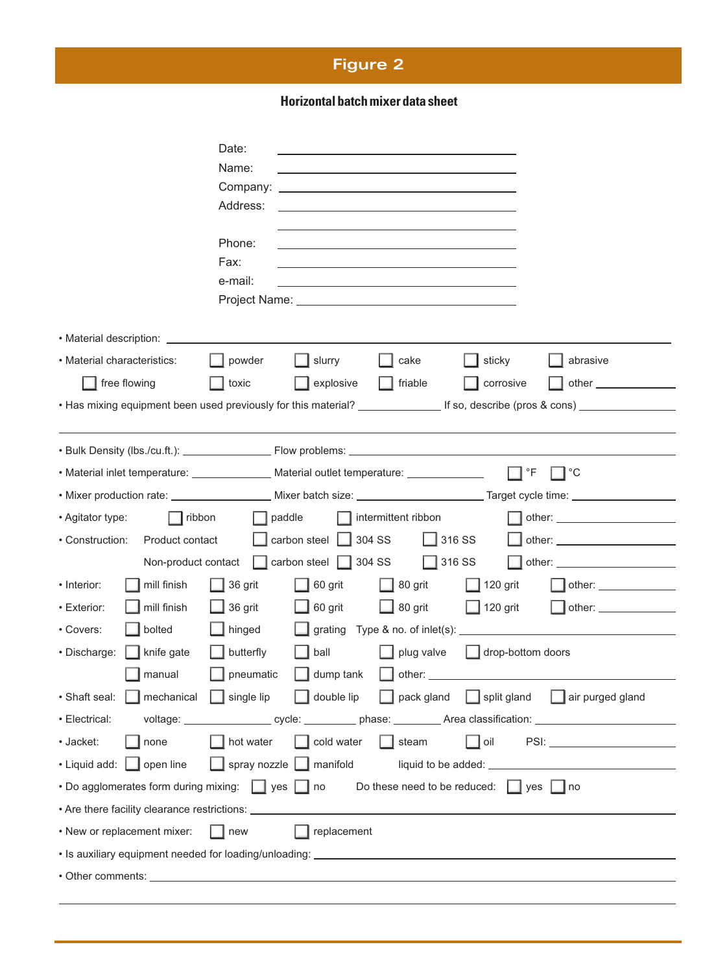# **Figure 2**

# **Horizontalbatchmixer data sheet**

|                                                                                                             | Date:                                                             |                                           |                     |                   |                                                                                                                  |  |
|-------------------------------------------------------------------------------------------------------------|-------------------------------------------------------------------|-------------------------------------------|---------------------|-------------------|------------------------------------------------------------------------------------------------------------------|--|
|                                                                                                             | Name:                                                             |                                           |                     |                   |                                                                                                                  |  |
|                                                                                                             | Company:                                                          |                                           |                     |                   |                                                                                                                  |  |
|                                                                                                             | Address:                                                          |                                           |                     |                   |                                                                                                                  |  |
|                                                                                                             |                                                                   |                                           |                     |                   |                                                                                                                  |  |
|                                                                                                             | Phone:                                                            |                                           |                     |                   |                                                                                                                  |  |
|                                                                                                             | Fax:                                                              |                                           |                     |                   |                                                                                                                  |  |
|                                                                                                             | e-mail:                                                           |                                           |                     |                   |                                                                                                                  |  |
|                                                                                                             |                                                                   |                                           |                     |                   |                                                                                                                  |  |
| • Material description:                                                                                     |                                                                   |                                           |                     |                   |                                                                                                                  |  |
| • Material characteristics:                                                                                 | powder                                                            | slurry                                    | cake                | sticky            | abrasive                                                                                                         |  |
| free flowing                                                                                                | toxic                                                             | explosive                                 | $\Box$ friable      | corrosive         | other                                                                                                            |  |
|                                                                                                             |                                                                   |                                           |                     |                   |                                                                                                                  |  |
|                                                                                                             |                                                                   |                                           |                     |                   |                                                                                                                  |  |
|                                                                                                             |                                                                   |                                           |                     |                   |                                                                                                                  |  |
| • Material inlet temperature: Material outlet temperature: _____________________                            |                                                                   |                                           |                     | $\mathsf{P}$      | —l °C                                                                                                            |  |
|                                                                                                             |                                                                   |                                           |                     |                   |                                                                                                                  |  |
| • Agitator type:<br>$\vert \vert$ ribbon                                                                    |                                                                   | paddle                                    | intermittent ribbon |                   |                                                                                                                  |  |
| • Construction:<br>Product contact                                                                          |                                                                   | carbon steel $\boxed{\phantom{0}}$ 304 SS | $\Box$ 316 SS       |                   |                                                                                                                  |  |
| Non-product contact                                                                                         |                                                                   | carbon steel 304 SS                       | $\frac{1}{316}$ SS  |                   |                                                                                                                  |  |
| • Interior:<br>mill finish                                                                                  | 36 grit                                                           | 60 grit                                   | 80 grit             | $\Box$ 120 grit   | $\blacksquare$ other:                                                                                            |  |
| • Exterior:<br>mill finish                                                                                  | 36 grit                                                           | 60 grit                                   | $\Box$ 80 grit      | $\Box$ 120 grit   |                                                                                                                  |  |
| • Covers:<br>bolted                                                                                         | hinged                                                            |                                           |                     |                   |                                                                                                                  |  |
| · Discharge:<br>knife gate                                                                                  | butterfly                                                         | ball                                      | plug valve          | drop-bottom doors |                                                                                                                  |  |
| manual                                                                                                      | pneumatic                                                         | dump tank                                 |                     |                   |                                                                                                                  |  |
| • Shaft seal: <b>nechanical</b> single lip double lip pack gland split gland air purged gland               |                                                                   |                                           |                     |                   |                                                                                                                  |  |
| • Electrical:                                                                                               |                                                                   |                                           |                     |                   | voltage: __________________ cycle: __________ phase: __________ Area classification: ________________________    |  |
| · Jacket:<br>none                                                                                           | $\Box$ hot water                                                  | cold water                                | $\Box$ steam        | $\Box$ oil        | PSI: 2008 2010 2010 2010 2011 2022 2023 2024 2022 2023 2024 2022 2023 2024 2022 2023 2024 2025 2026 2027 2028 20 |  |
| • Liquid add:       open line                                                                               | $\boxed{\phantom{a}}$ spray nozzle $\boxed{\phantom{a}}$ manifold |                                           |                     |                   |                                                                                                                  |  |
| • Do agglomerates form during mixing: set supersion of<br>Do these need to be reduced: $\Box$ yes $\Box$ no |                                                                   |                                           |                     |                   |                                                                                                                  |  |
|                                                                                                             |                                                                   |                                           |                     |                   |                                                                                                                  |  |
| • New or replacement mixer:                                                                                 | $\blacksquare$ new                                                | $\blacksquare$ replacement                |                     |                   |                                                                                                                  |  |
|                                                                                                             |                                                                   |                                           |                     |                   |                                                                                                                  |  |
|                                                                                                             |                                                                   |                                           |                     |                   |                                                                                                                  |  |
|                                                                                                             |                                                                   |                                           |                     |                   |                                                                                                                  |  |
|                                                                                                             |                                                                   |                                           |                     |                   |                                                                                                                  |  |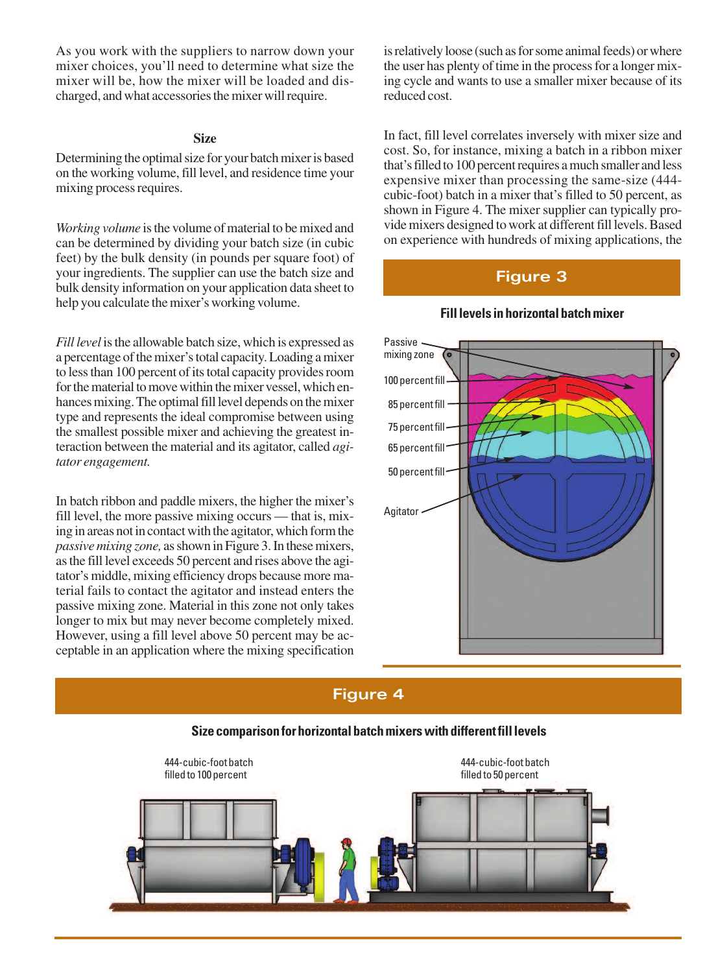As you work with the suppliers to narrow down your mixer choices, you'll need to determine what size the mixer will be, how the mixer will be loaded and discharged, and what accessories the mixer will require.

## **Size**

Determining the optimal size for your batch mixer is based on the working volume, fill level, and residence time your mixing process requires.

*Working volume* is the volume of material to be mixed and can be determined by dividing your batch size (in cubic feet) by the bulk density (in pounds per square foot) of your ingredients. The supplier can use the batch size and bulk density information on your application data sheet to help you calculate the mixer's working volume.

*Fill level* is the allowable batch size, which is expressed as a percentage of the mixer's total capacity. Loading a mixer to less than 100 percent of its total capacity provides room for the material to move within the mixer vessel, which enhances mixing. The optimal fill level depends on the mixer type and represents the ideal compromise between using the smallest possible mixer and achieving the greatest interaction between the material and its agitator, called *agitator engagement.*

In batch ribbon and paddle mixers, the higher the mixer's fill level, the more passive mixing occurs — that is, mixing in areas not in contact with the agitator, which form the *passivemixing zone,* asshown inFigure 3.In thesemixers, asthe fill level exceeds 50 percent and rises above the agitator's middle, mixing efficiency drops because more material fails to contact the agitator and instead enters the passive mixing zone. Material in this zone not only takes longer to mix but may never become completely mixed. However, using a fill level above 50 percent may be acceptable in an application where the mixing specification is relatively loose (such as for some animal feeds) or where the user has plenty of time in the process for a longer mixing cycle and wants to use a smaller mixer because of its reduced cost.

In fact, fill level correlates inversely with mixer size and cost. So, for instance, mixing a batch in a ribbon mixer that's filled to 100 percent requires a much smaller and less expensive mixer than processing the same-size (444 cubic-foot) batch in a mixer that's filled to 50 percent, as shown in Figure 4. The mixer supplier can typically provide mixers designed to work at different fill levels. Based on experience with hundreds of mixing applications, the

# **Figure 3**



#### **Filllevels in horizontal batchmixer**

# **Figure 4**



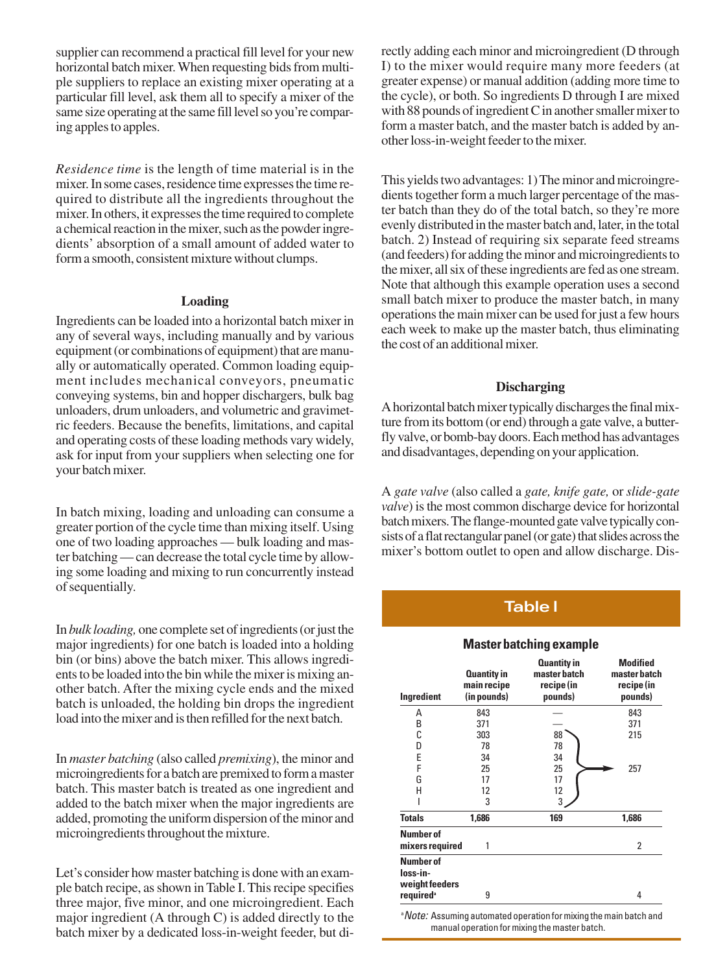supplier can recommend a practical fill level for your new horizontal batch mixer. When requesting bids from multiple suppliers to replace an existing mixer operating at a particular fill level, ask them all to specify a mixer of the same size operating at the same fill level so you're comparing apples to apples.

*Residence time* is the length of time material is in the mixer. In some cases, residence time expresses the time required to distribute all the ingredients throughout the mixer. In others, it expresses the time required to complete a chemical reaction in the mixer, such as the powder ingredients' absorption of a small amount of added water to form a smooth, consistent mixture without clumps.

#### **Loading**

Ingredients can be loaded into a horizontal batch mixer in any of several ways, including manually and by various equipment (or combinations of equipment) that are manually or automatically operated. Common loading equipment includes mechanical conveyors, pneumatic conveying systems, bin and hopper dischargers, bulk bag unloaders, drum unloaders, and volumetric and gravimetric feeders. Because the benefits, limitations, and capital and operating costs of these loading methods vary widely, ask for input from your suppliers when selecting one for your batch mixer.

In batch mixing, loading and unloading can consume a greater portion of the cycle time than mixing itself. Using one of two loading approaches — bulk loading and master batching—can decrease the total cycle time by allowing some loading and mixing to run concurrently instead of sequentially.

In *bulk loading*, one complete set of ingredients (or just the major ingredients) for one batch is loaded into a holding bin (or bins) above the batch mixer. This allows ingredients to be loaded into the bin while the mixer is mixing another batch. After the mixing cycle ends and the mixed batch is unloaded, the holding bin drops the ingredient load into the mixer and is then refilled for the next batch.

In *master batching* (also called *premixing*), the minor and microingredients for a batch are premixed to form a master batch. This master batch is treated as one ingredient and added to the batch mixer when the major ingredients are added, promoting the uniform dispersion of the minor and microingredients throughout the mixture.

Let's consider how master batching is done with an example batch recipe, as shown in Table I. This recipe specifies three major, five minor, and one microingredient. Each major ingredient (A through C) is added directly to the batch mixer by a dedicated loss-in-weight feeder, but directly adding each minor and microingredient (D through I) to the mixer would require many more feeders (at greater expense) or manual addition (adding more time to the cycle), or both. So ingredients D through I are mixed with 88 pounds of ingredient C in another smaller mixer to form a master batch, and the master batch is added by another loss-in-weight feeder to the mixer.

This yields two advantages: 1) The minor and microingredients together form a much larger percentage of the master batch than they do of the total batch, so they're more evenly distributed in the master batch and, later, in the total batch. 2) Instead of requiring six separate feed streams (and feeders) for adding the minor and microingredients to the mixer, all six of these ingredients are fed as one stream. Note that although this example operation uses a second small batch mixer to produce the master batch, in many operations the main mixer can be used for just a few hours each week to make up the master batch, thus eliminating the cost of an additional mixer.

#### **Discharging**

A horizontal batch mixer typically discharges the final mixture from its bottom (or end) through a gate valve, a butterfly valve, or bomb-bay doors. Each method has advantages and disadvantages, depending on your application.

A *gate valve* (also called a *gate, knife gate,* or *slide-gate valve*) is the most common discharge device for horizontal batch mixers. The flange-mounted gate valve typically consists of a flat rectangular panel (or gate) that slides across the mixer's bottom outlet to open and allow discharge. Dis-

# **Table l**

#### **Masterbatching example**

| <b>Quantity in</b><br>main recipe<br>(in pounds)<br>Ingredient |       | Quantity in<br>master batch<br>recipe (in<br>pounds) | <b>Modified</b><br>master batch<br>recipe (in<br>pounds) |
|----------------------------------------------------------------|-------|------------------------------------------------------|----------------------------------------------------------|
| Α                                                              | 843   |                                                      | 843                                                      |
| B                                                              | 371   |                                                      | 371                                                      |
| C                                                              | 303   | 88                                                   | 215                                                      |
| D                                                              | 78    | 78                                                   |                                                          |
| E                                                              | 34    | 34                                                   |                                                          |
| F                                                              | 25    | 25                                                   | 257                                                      |
| G                                                              | 17    | 17                                                   |                                                          |
| н                                                              | 12    | 12                                                   |                                                          |
|                                                                | 3     | 3                                                    |                                                          |
| <b>Totals</b>                                                  | 1,686 | 169                                                  | 1,686                                                    |
| <b>Number of</b><br>mixers required                            | 1     |                                                      | 2                                                        |
| <b>Number of</b><br>loss-in-<br>weight feeders                 |       |                                                      |                                                          |
| required <sup>a</sup>                                          | 9     |                                                      | 4                                                        |

<sup>a</sup> Note: Assuming automated operation for mixing the main batch and manual operation for mixing the master batch.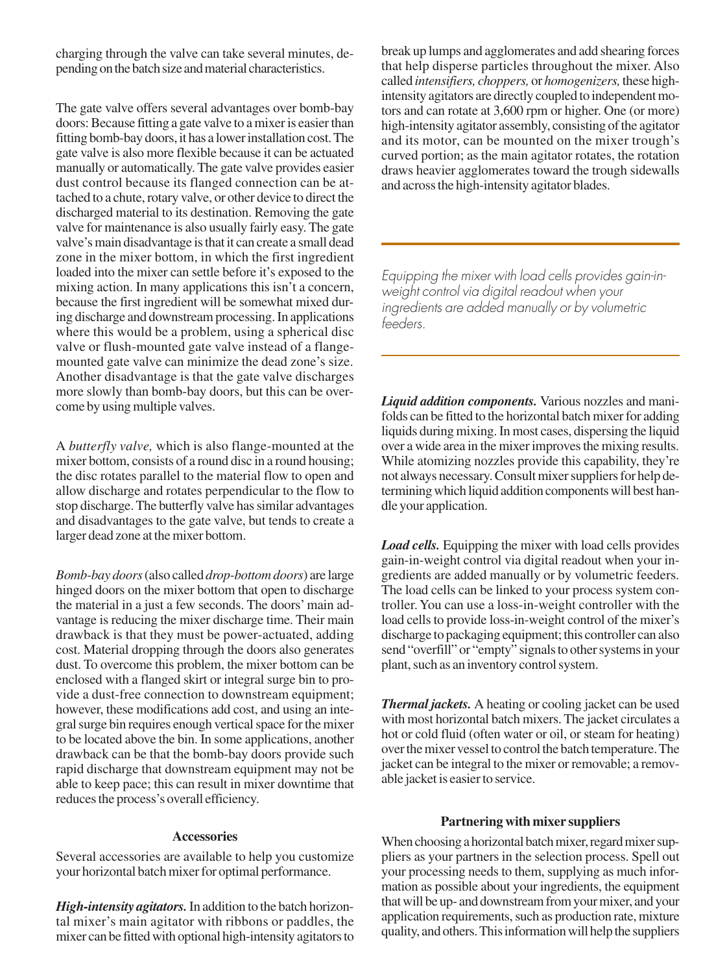charging through the valve can take several minutes, depending on the batch size and material characteristics.

The gate valve offers several advantages over bomb-bay doors: Because fitting a gate valve to a mixer is easier than fitting bomb-bay doors, it has a lower installation cost. The gate valve is also more flexible because it can be actuated manually or automatically. The gate valve provides easier dust control because its flanged connection can be attached to a chute, rotary valve, or other device to direct the discharged material to its destination. Removing the gate valve for maintenance is also usually fairly easy. The gate valve's main disadvantage is that it can create a small dead zone in the mixer bottom, in which the first ingredient loaded into the mixer can settle before it's exposed to the mixing action. In many applications this isn't a concern, because the first ingredient will be somewhat mixed during discharge and downstream processing. In applications where this would be a problem, using a spherical disc valve or flush-mounted gate valve instead of a flangemounted gate valve can minimize the dead zone's size. Another disadvantage is that the gate valve discharges more slowly than bomb-bay doors, but this can be overcome by using multiple valves.

A *butterfly valve,* which is also flange-mounted at the mixer bottom, consists of a round disc in a round housing; the disc rotates parallel to the material flow to open and allow discharge and rotates perpendicular to the flow to stop discharge. The butterfly valve has similar advantages and disadvantages to the gate valve, but tends to create a larger dead zone at the mixer bottom.

*Bomb-bay doors*(also called *drop-bottomdoors*) are large hinged doors on the mixer bottom that open to discharge the material in a just a few seconds. The doors'main advantage is reducing the mixer discharge time. Their main drawback is that they must be power-actuated, adding cost. Material dropping through the doors also generates dust. To overcome this problem, the mixer bottom can be enclosed with a flanged skirt or integral surge bin to provide a dust-free connection to downstream equipment; however, these modifications add cost, and using an integral surge bin requires enough vertical space for the mixer to be located above the bin. In some applications, another drawback can be that the bomb-bay doors provide such rapid discharge that downstream equipment may not be able to keep pace; this can result in mixer downtime that reduces the process's overall efficiency.

#### **Accessories**

Several accessories are available to help you customize your horizontal batch mixer for optimal performance.

*High-intensity agitators.*In addition to the batch horizontal mixer's main agitator with ribbons or paddles, the mixer can be fitted with optional high-intensity agitators to break up lumps and agglomerates and add shearing forces that help disperse particles throughout the mixer. Also called *intensifiers, choppers,* or *homogenizers,* these highintensity agitators are directly coupled to independent motors and can rotate at 3,600 rpm or higher. One (or more) high-intensity agitator assembly, consisting of the agitator and its motor, can be mounted on the mixer trough's curved portion; as the main agitator rotates, the rotation draws heavier agglomerates toward the trough sidewalls and acrossthe high-intensity agitator blades.

*Equipping the mixer with load cells provides gain-inweight control via digital readout when your ingredients are added manually or by volumetric feeders.*

*Liquid addition components.* Various nozzles and manifolds can be fitted to the horizontal batch mixer for adding liquids during mixing. In most cases, dispersing the liquid over a wide area in the mixer improves the mixing results. While atomizing nozzles provide this capability, they're not always necessary. Consult mixer suppliers for help determiningwhich liquid addition componentswill best handle your application.

*Load cells.* Equipping the mixer with load cells provides gain-in-weight control via digital readout when your ingredients are added manually or by volumetric feeders. The load cells can be linked to your process system controller.You can use a loss-in-weight controller with the load cells to provide loss-in-weight control of the mixer's discharge to packaging equipment; this controller can also send "overfill" or "empty" signals to other systems in your plant, such as an inventory control system.

*Thermal jackets.* A heating or cooling jacket can be used with most horizontal batch mixers. The jacket circulates a hot or cold fluid (often water or oil, or steam for heating) over the mixer vessel to control the batch temperature. The jacket can be integral to the mixer or removable; a removable jacket is easier to service.

#### **Partnering with mixer suppliers**

When choosing a horizontal batch mixer, regard mixer suppliers as your partners in the selection process. Spell out your processing needs to them, supplying as much information as possible about your ingredients, the equipment that will be up- and downstream from your mixer, and your application requirements, such as production rate, mixture quality, and others.Thisinformationwill help the suppliers